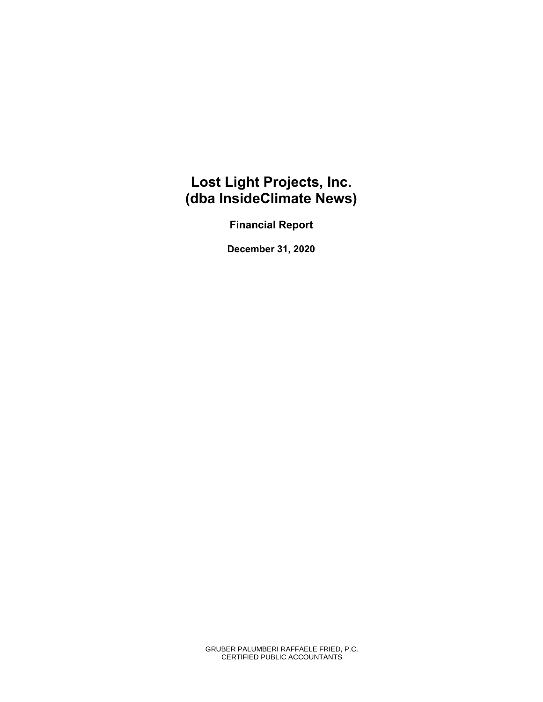# **Lost Light Projects, Inc. (dba InsideClimate News)**

**Financial Report** 

**December 31, 2020** 

GRUBER PALUMBERI RAFFAELE FRIED, P.C. CERTIFIED PUBLIC ACCOUNTANTS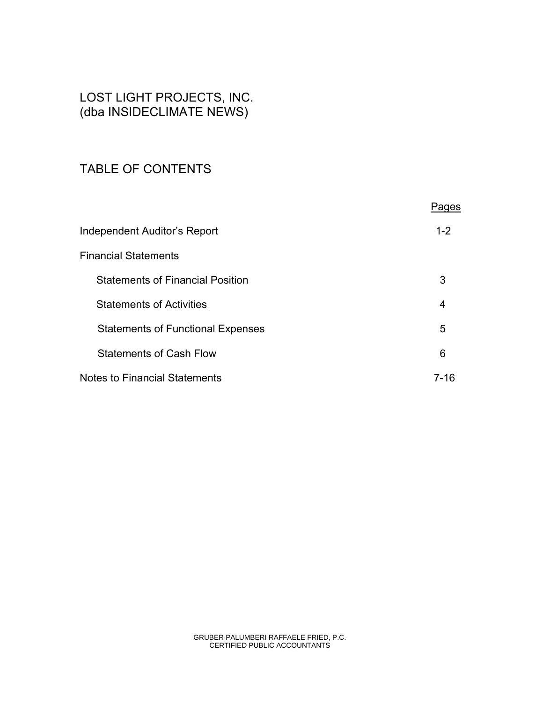# LOST LIGHT PROJECTS, INC. (dba INSIDECLIMATE NEWS)

# TABLE OF CONTENTS

|                                          | Pages   |
|------------------------------------------|---------|
| Independent Auditor's Report             | $1 - 2$ |
| <b>Financial Statements</b>              |         |
| <b>Statements of Financial Position</b>  | 3       |
| <b>Statements of Activities</b>          | 4       |
| <b>Statements of Functional Expenses</b> | 5       |
| <b>Statements of Cash Flow</b>           | 6       |
| Notes to Financial Statements            | 7-16    |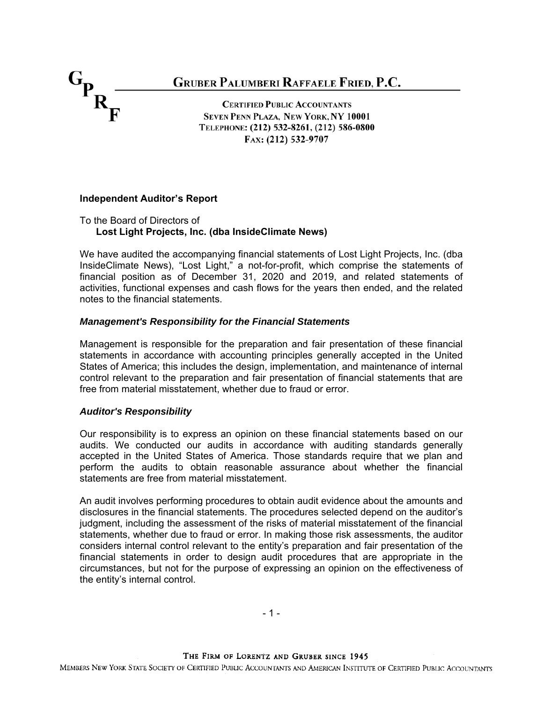$G_{P_{R_{\overline{F}}}}$ **GRUBER PALUMBERI RAFFAELE FRIED, P.C. CERTIFIED PUBLIC ACCOUNTANTS SEVEN PENN PLAZA, NEW YORK, NY 10001** TELEPHONE: (212) 532-8261, (212) 586-0800 FAX: (212) 532-9707

### **Independent Auditor's Report**

To the Board of Directors of **Lost Light Projects, Inc. (dba InsideClimate News)**

We have audited the accompanying financial statements of Lost Light Projects, Inc. (dba InsideClimate News), "Lost Light," a not-for-profit, which comprise the statements of financial position as of December 31, 2020 and 2019, and related statements of activities, functional expenses and cash flows for the years then ended, and the related notes to the financial statements.

#### *Management's Responsibility for the Financial Statements*

Management is responsible for the preparation and fair presentation of these financial statements in accordance with accounting principles generally accepted in the United States of America; this includes the design, implementation, and maintenance of internal control relevant to the preparation and fair presentation of financial statements that are free from material misstatement, whether due to fraud or error.

#### *Auditor's Responsibility*

Our responsibility is to express an opinion on these financial statements based on our audits. We conducted our audits in accordance with auditing standards generally accepted in the United States of America. Those standards require that we plan and perform the audits to obtain reasonable assurance about whether the financial statements are free from material misstatement.

An audit involves performing procedures to obtain audit evidence about the amounts and disclosures in the financial statements. The procedures selected depend on the auditor's judgment, including the assessment of the risks of material misstatement of the financial statements, whether due to fraud or error. In making those risk assessments, the auditor considers internal control relevant to the entity's preparation and fair presentation of the financial statements in order to design audit procedures that are appropriate in the circumstances, but not for the purpose of expressing an opinion on the effectiveness of the entity's internal control.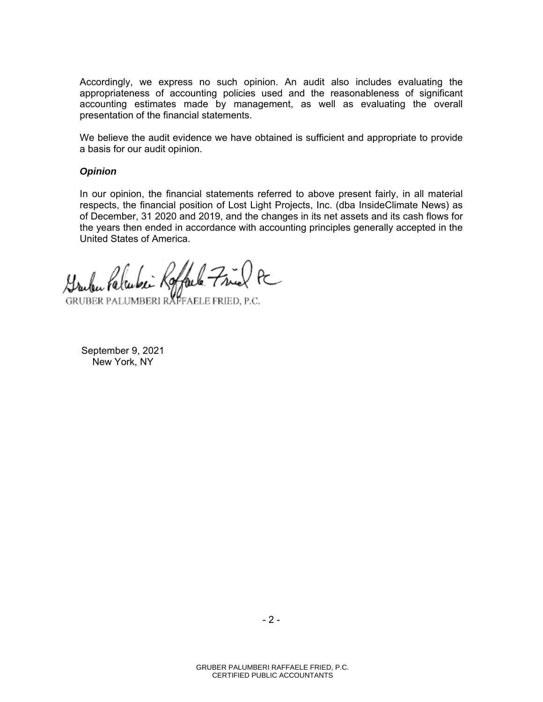Accordingly, we express no such opinion. An audit also includes evaluating the appropriateness of accounting policies used and the reasonableness of significant accounting estimates made by management, as well as evaluating the overall presentation of the financial statements.

We believe the audit evidence we have obtained is sufficient and appropriate to provide a basis for our audit opinion.

#### *Opinion*

In our opinion, the financial statements referred to above present fairly, in all material respects, the financial position of Lost Light Projects, Inc. (dba InsideClimate News) as of December, 31 2020 and 2019, and the changes in its net assets and its cash flows for the years then ended in accordance with accounting principles generally accepted in the United States of America.

bei Roffale Fried PC

GRUBER PALUMBERI RAFFAELE FRIED, P.C.

September 9, 2021 New York, NY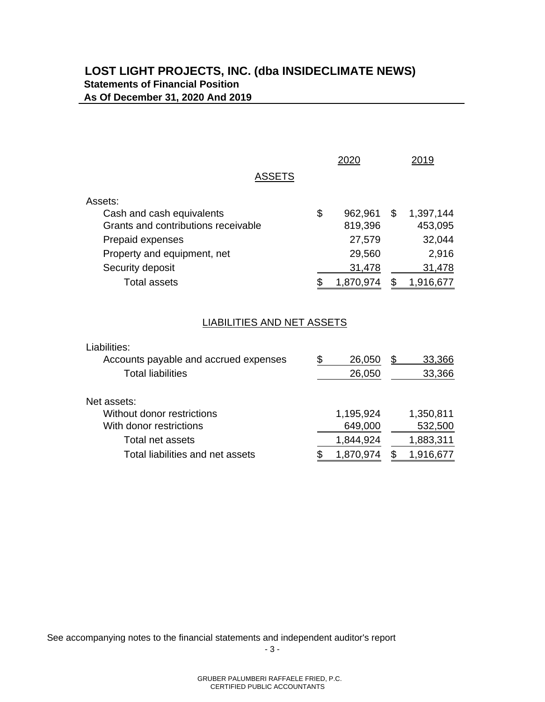# **LOST LIGHT PROJECTS, INC. (dba INSIDECLIMATE NEWS) Statements of Financial Position As Of December 31, 2020 And 2019**

|                                     | 2020          | 2019            |
|-------------------------------------|---------------|-----------------|
| <b>ASSETS</b>                       |               |                 |
| Assets:                             |               |                 |
| Cash and cash equivalents           | \$<br>962,961 | \$<br>1,397,144 |
| Grants and contributions receivable | 819,396       | 453,095         |
| Prepaid expenses                    | 27,579        | 32,044          |
| Property and equipment, net         | 29,560        | 2,916           |
| Security deposit                    | 31,478        | 31,478          |
| Total assets                        | 1,870,974     | 1,916,677       |

# LIABILITIES AND NET ASSETS

| Liabilities:                          |             |              |
|---------------------------------------|-------------|--------------|
| Accounts payable and accrued expenses | S<br>26,050 | 33,366<br>\$ |
| <b>Total liabilities</b>              | 26,050      | 33,366       |
| Net assets:                           |             |              |
| Without donor restrictions            | 1,195,924   | 1,350,811    |
| With donor restrictions               | 649,000     | 532,500      |
| Total net assets                      | 1,844,924   | 1,883,311    |
| Total liabilities and net assets      | 1,870.974   | 1,916,677    |
|                                       |             |              |

See accompanying notes to the financial statements and independent auditor's report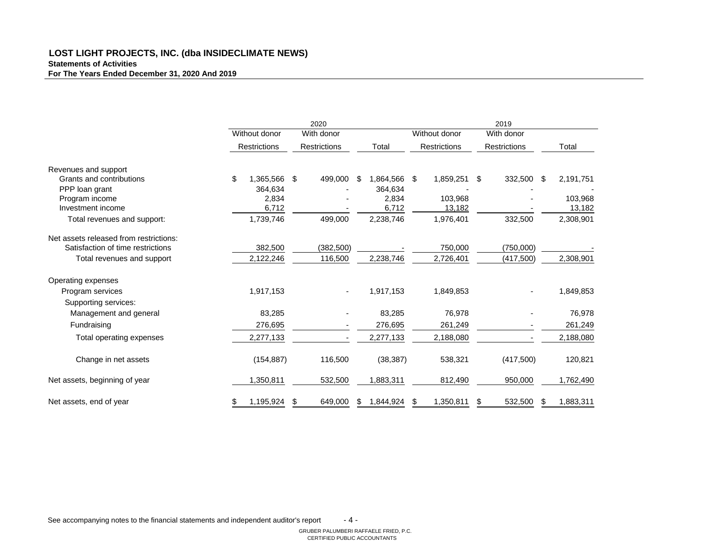# **LOST LIGHT PROJECTS, INC. (dba INSIDECLIMATE NEWS) Statements of Activities For The Years Ended December 31, 2020 And 2019**

|                                        |                 | 2020                                 |    | 2019          |                             |                           |    |           |  |
|----------------------------------------|-----------------|--------------------------------------|----|---------------|-----------------------------|---------------------------|----|-----------|--|
|                                        | Without donor   | With donor                           |    | Without donor | With donor                  |                           |    |           |  |
|                                        | Restrictions    | Restrictions                         |    | Total         | <b>Restrictions</b>         | Restrictions              |    | Total     |  |
| Revenues and support                   |                 |                                      |    |               |                             |                           |    |           |  |
| Grants and contributions               | \$<br>1,365,566 | $\boldsymbol{\mathsf{S}}$<br>499,000 | \$ | 1,864,566 \$  | 1,859,251                   | 332,500<br>\$             | \$ | 2,191,751 |  |
| PPP loan grant                         | 364,634         |                                      |    | 364,634       |                             |                           |    |           |  |
| Program income                         | 2,834           |                                      |    | 2,834         | 103,968                     |                           |    | 103,968   |  |
| Investment income                      | 6,712           |                                      |    | 6,712         | 13,182                      |                           |    | 13,182    |  |
| Total revenues and support:            | 1,739,746       | 499,000                              |    | 2,238,746     | 1,976,401                   | 332,500                   |    | 2,308,901 |  |
| Net assets released from restrictions: |                 |                                      |    |               |                             |                           |    |           |  |
| Satisfaction of time restrictions      | 382,500         | (382, 500)                           |    |               | 750,000                     | (750,000)                 |    |           |  |
| Total revenues and support             | 2,122,246       | 116,500                              |    | 2,238,746     | 2,726,401                   | (417,500)                 |    | 2,308,901 |  |
| Operating expenses                     |                 |                                      |    |               |                             |                           |    |           |  |
| Program services                       | 1,917,153       |                                      |    | 1,917,153     | 1,849,853                   |                           |    | 1,849,853 |  |
| <b>Supporting services:</b>            |                 |                                      |    |               |                             |                           |    |           |  |
| Management and general                 | 83,285          |                                      |    | 83,285        | 76,978                      |                           |    | 76,978    |  |
| Fundraising                            | 276,695         |                                      |    | 276,695       | 261,249                     |                           |    | 261,249   |  |
| <b>Total operating expenses</b>        | 2,277,133       |                                      |    | 2,277,133     | 2,188,080                   |                           |    | 2,188,080 |  |
| Change in net assets                   | (154, 887)      | 116,500                              |    | (38, 387)     | 538,321                     | (417,500)                 |    | 120,821   |  |
| Net assets, beginning of year          | 1,350,811       | 532,500                              |    | 1,883,311     | 812,490                     | 950,000                   |    | 1,762,490 |  |
| Net assets, end of year                | \$<br>1,195,924 | \$<br>649,000                        | \$ | 1,844,924     | 1,350,811<br>$\mathfrak{F}$ | 532,500<br>$\mathfrak{L}$ | \$ | 1,883,311 |  |

See accompanying notes to the financial statements and independent auditor's report - 4 -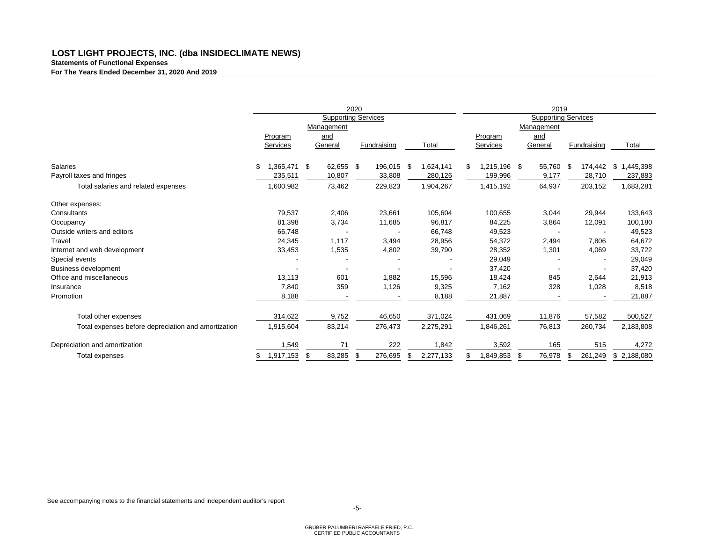# **LOST LIGHT PROJECTS, INC. (dba INSIDECLIMATE NEWS) Statements of Functional Expenses For The Years Ended December 31, 2020 And 2019**

|                                                     |                      |              | 2020                       |                 | 2019              |              |                            |                 |
|-----------------------------------------------------|----------------------|--------------|----------------------------|-----------------|-------------------|--------------|----------------------------|-----------------|
|                                                     |                      |              | <b>Supporting Services</b> |                 |                   |              | <b>Supporting Services</b> |                 |
|                                                     |                      | Management   |                            |                 | Management        |              |                            |                 |
|                                                     | Program              | and          |                            |                 | Program           | and          |                            |                 |
|                                                     | <b>Services</b>      | General      | Fundraising                | Total           | <b>Services</b>   | General      | Fundraising                | Total           |
| <b>Salaries</b>                                     | \$<br>$1,365,471$ \$ | 62,655 \$    | 196,015                    | 1,624,141<br>\$ | S<br>1,215,196 \$ | 55,760       | 174,442<br>\$              | \$<br>1,445,398 |
| Payroll taxes and fringes                           | 235,511              | 10,807       | 33,808                     | 280,126         | 199,996           | 9,177        | 28,710                     | 237,883         |
| Total salaries and related expenses                 | 1,600,982            | 73,462       | 229,823                    | 1,904,267       | 1,415,192         | 64,937       | 203,152                    | 1,683,281       |
|                                                     |                      |              |                            |                 |                   |              |                            |                 |
| Other expenses:                                     |                      |              |                            |                 |                   |              |                            |                 |
| Consultants                                         | 79,537               | 2,406        | 23,661                     | 105,604         | 100,655           | 3,044        | 29,944                     | 133,643         |
| Occupancy                                           | 81,398               | 3,734        | 11,685                     | 96,817          | 84,225            | 3,864        | 12,091                     | 100,180         |
| Outside writers and editors                         | 66,748               |              |                            | 66,748          | 49,523            |              | $\overline{\phantom{a}}$   | 49,523          |
| <b>Travel</b>                                       | 24,345               | 1,117        | 3,494                      | 28,956          | 54,372            | 2,494        | 7,806                      | 64,672          |
| Internet and web development                        | 33,453               | 1,535        | 4,802                      | 39,790          | 28,352            | 1,301        | 4,069                      | 33,722          |
| Special events                                      |                      |              |                            |                 | 29,049            |              | $\overline{\phantom{a}}$   | 29,049          |
| <b>Business development</b>                         |                      |              |                            |                 | 37,420            |              |                            | 37,420          |
| Office and miscellaneous                            | 13,113               | 601          | 1,882                      | 15,596          | 18,424            | 845          | 2,644                      | 21,913          |
| Insurance                                           | 7,840                | 359          | 1,126                      | 9,325           | 7,162             | 328          | 1,028                      | 8,518           |
| Promotion                                           | 8,188                |              |                            | 8,188           | 21,887            |              |                            | 21,887          |
| Total other expenses                                | 314,622              | 9,752        | 46,650                     | 371,024         | 431,069           | 11,876       | 57,582                     | 500,527         |
|                                                     |                      |              |                            |                 |                   |              |                            |                 |
| Total expenses before depreciation and amortization | 1,915,604            | 83,214       | 276,473                    | 2,275,291       | 1,846,261         | 76,813       | 260,734                    | 2,183,808       |
| Depreciation and amortization                       | 1,549                | 71           | 222                        | 1,842           | 3,592             | 165          | 515                        | 4,272           |
| Total expenses                                      | 1,917,153<br>\$      | 83,285<br>\$ | 276,695<br>\$              | 2,277,133       | 1,849,853         | 76,978<br>S. | 261,249<br>\$              | \$2,188,080     |

See accompanying notes to the financial statements and independent auditor's report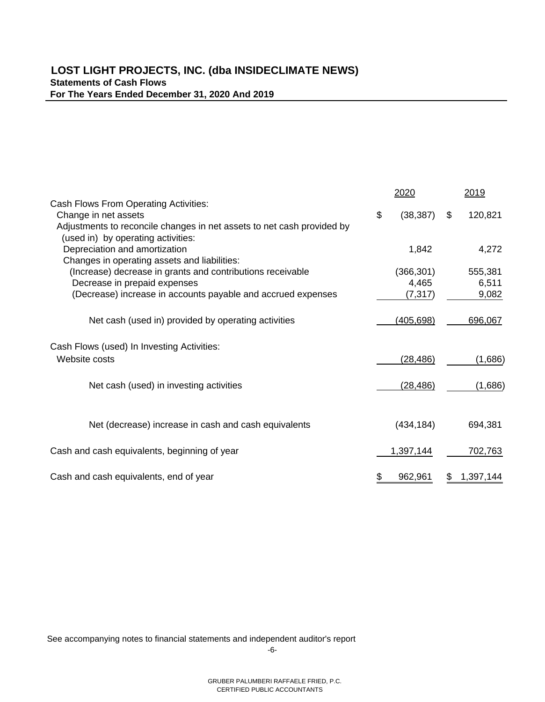|                                                                        |    | 2020             | 2019          |
|------------------------------------------------------------------------|----|------------------|---------------|
| <b>Cash Flows From Operating Activities:</b>                           |    |                  |               |
| Change in net assets                                                   | \$ | (38, 387)        | \$<br>120,821 |
| Adjustments to reconcile changes in net assets to net cash provided by |    |                  |               |
| (used in) by operating activities:                                     |    |                  |               |
| Depreciation and amortization                                          |    | 1,842            | 4,272         |
| Changes in operating assets and liabilities:                           |    |                  |               |
| (Increase) decrease in grants and contributions receivable             |    | (366, 301)       | 555,381       |
| Decrease in prepaid expenses                                           |    | 4,465            | 6,511         |
| (Decrease) increase in accounts payable and accrued expenses           |    | (7, 317)         | 9,082         |
|                                                                        |    |                  |               |
| Net cash (used in) provided by operating activities                    |    | <u>(405,698)</u> | 696,067       |
|                                                                        |    |                  |               |
|                                                                        |    |                  |               |
| Cash Flows (used) In Investing Activities:                             |    |                  |               |
| Website costs                                                          |    | (28, 486)        | (1,686)       |
|                                                                        |    |                  |               |
| Net cash (used) in investing activities                                |    | (28, 486)        | (1,686)       |
|                                                                        |    |                  |               |
|                                                                        |    |                  |               |
|                                                                        |    |                  |               |
| Net (decrease) increase in cash and cash equivalents                   |    | (434, 184)       | 694,381       |
|                                                                        |    |                  |               |
| Cash and cash equivalents, beginning of year                           |    | 1,397,144        | 702,763       |
|                                                                        |    |                  |               |
| Cash and cash equivalents, end of year                                 | \$ | 962,961          | 1,397,144     |
|                                                                        |    |                  |               |

See accompanying notes to financial statements and independent auditor's report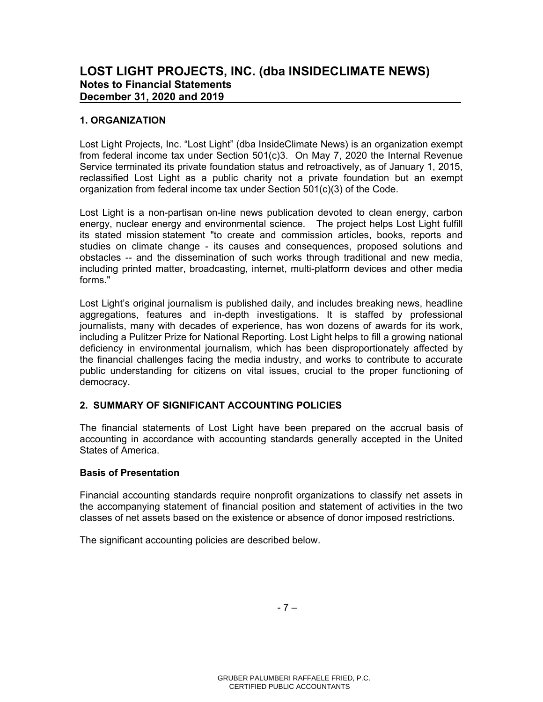# **1. ORGANIZATION**

Lost Light Projects, Inc. "Lost Light" (dba InsideClimate News) is an organization exempt from federal income tax under Section 501(c)3. On May 7, 2020 the Internal Revenue Service terminated its private foundation status and retroactively, as of January 1, 2015, reclassified Lost Light as a public charity not a private foundation but an exempt organization from federal income tax under Section 501(c)(3) of the Code.

Lost Light is a non-partisan on-line news publication devoted to clean energy, carbon energy, nuclear energy and environmental science. The project helps Lost Light fulfill its stated mission statement "to create and commission articles, books, reports and studies on climate change - its causes and consequences, proposed solutions and obstacles -- and the dissemination of such works through traditional and new media, including printed matter, broadcasting, internet, multi-platform devices and other media forms."

Lost Light's original journalism is published daily, and includes breaking news, headline aggregations, features and in-depth investigations. It is staffed by professional journalists, many with decades of experience, has won dozens of awards for its work, including a Pulitzer Prize for National Reporting. Lost Light helps to fill a growing national deficiency in environmental journalism, which has been disproportionately affected by the financial challenges facing the media industry, and works to contribute to accurate public understanding for citizens on vital issues, crucial to the proper functioning of democracy.

# **2. SUMMARY OF SIGNIFICANT ACCOUNTING POLICIES**

The financial statements of Lost Light have been prepared on the accrual basis of accounting in accordance with accounting standards generally accepted in the United States of America.

# **Basis of Presentation**

Financial accounting standards require nonprofit organizations to classify net assets in the accompanying statement of financial position and statement of activities in the two classes of net assets based on the existence or absence of donor imposed restrictions.

The significant accounting policies are described below.

 $-7 -$ 

 GRUBER PALUMBERI RAFFAELE FRIED, P.C. CERTIFIED PUBLIC ACCOUNTANTS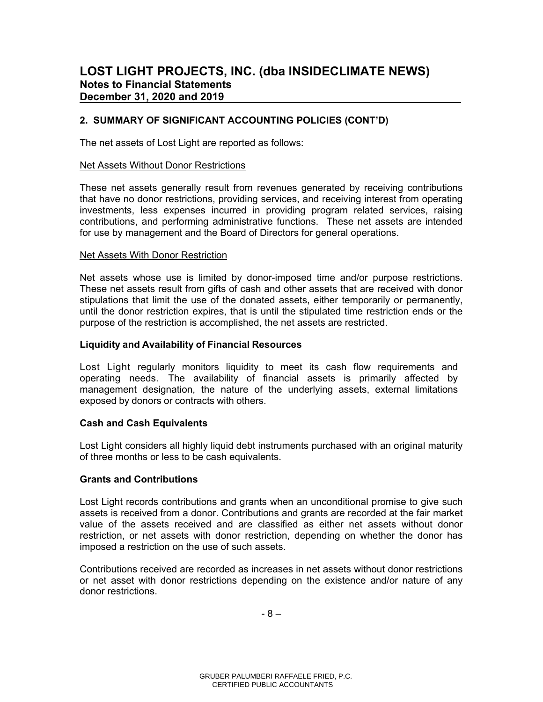The net assets of Lost Light are reported as follows:

#### Net Assets Without Donor Restrictions

These net assets generally result from revenues generated by receiving contributions that have no donor restrictions, providing services, and receiving interest from operating investments, less expenses incurred in providing program related services, raising contributions, and performing administrative functions. These net assets are intended for use by management and the Board of Directors for general operations.

#### Net Assets With Donor Restriction

Net assets whose use is limited by donor-imposed time and/or purpose restrictions. These net assets result from gifts of cash and other assets that are received with donor stipulations that limit the use of the donated assets, either temporarily or permanently, until the donor restriction expires, that is until the stipulated time restriction ends or the purpose of the restriction is accomplished, the net assets are restricted.

#### **Liquidity and Availability of Financial Resources**

Lost Light regularly monitors liquidity to meet its cash flow requirements and operating needs. The availability of financial assets is primarily affected by management designation, the nature of the underlying assets, external limitations exposed by donors or contracts with others.

#### **Cash and Cash Equivalents**

Lost Light considers all highly liquid debt instruments purchased with an original maturity of three months or less to be cash equivalents.

#### **Grants and Contributions**

Lost Light records contributions and grants when an unconditional promise to give such assets is received from a donor. Contributions and grants are recorded at the fair market value of the assets received and are classified as either net assets without donor restriction, or net assets with donor restriction, depending on whether the donor has imposed a restriction on the use of such assets.

Contributions received are recorded as increases in net assets without donor restrictions or net asset with donor restrictions depending on the existence and/or nature of any donor restrictions.

- 8 –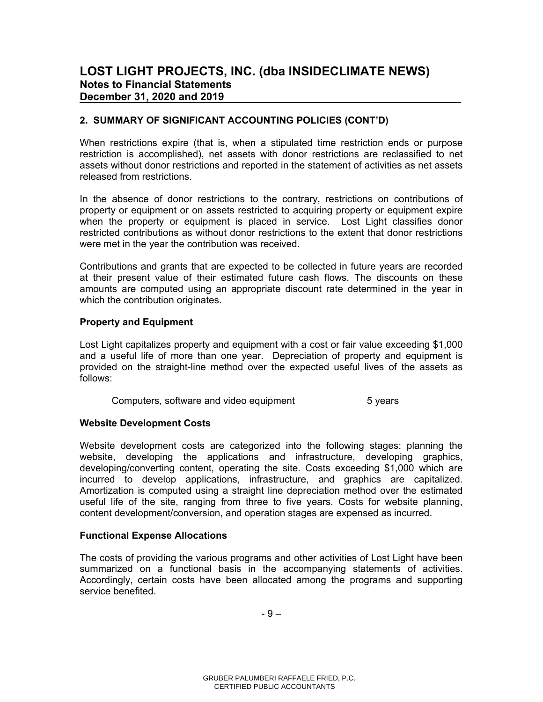When restrictions expire (that is, when a stipulated time restriction ends or purpose restriction is accomplished), net assets with donor restrictions are reclassified to net assets without donor restrictions and reported in the statement of activities as net assets released from restrictions.

In the absence of donor restrictions to the contrary, restrictions on contributions of property or equipment or on assets restricted to acquiring property or equipment expire when the property or equipment is placed in service. Lost Light classifies donor restricted contributions as without donor restrictions to the extent that donor restrictions were met in the year the contribution was received.

Contributions and grants that are expected to be collected in future years are recorded at their present value of their estimated future cash flows. The discounts on these amounts are computed using an appropriate discount rate determined in the year in which the contribution originates.

#### **Property and Equipment**

Lost Light capitalizes property and equipment with a cost or fair value exceeding \$1,000 and a useful life of more than one year. Depreciation of property and equipment is provided on the straight-line method over the expected useful lives of the assets as follows:

Computers, software and video equipment 5 years

# **Website Development Costs**

Website development costs are categorized into the following stages: planning the website, developing the applications and infrastructure, developing graphics, developing/converting content, operating the site. Costs exceeding \$1,000 which are incurred to develop applications, infrastructure, and graphics are capitalized. Amortization is computed using a straight line depreciation method over the estimated useful life of the site, ranging from three to five years. Costs for website planning, content development/conversion, and operation stages are expensed as incurred.

#### **Functional Expense Allocations**

The costs of providing the various programs and other activities of Lost Light have been summarized on a functional basis in the accompanying statements of activities. Accordingly, certain costs have been allocated among the programs and supporting service benefited.

- 9 –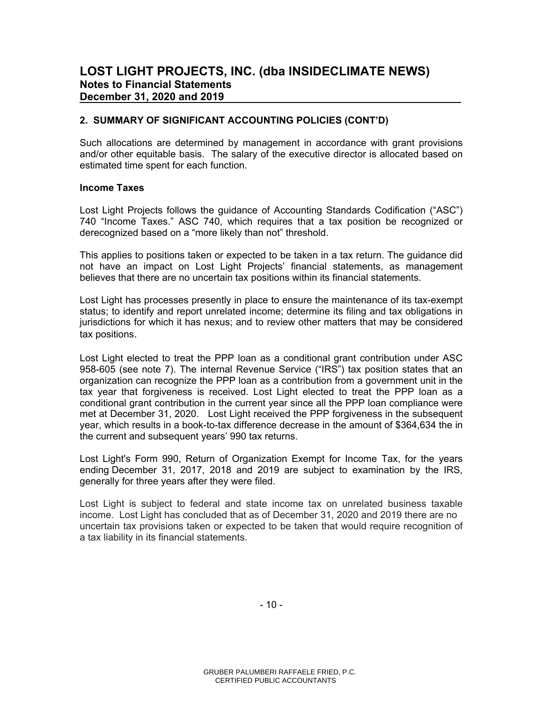# **LOST LIGHT PROJECTS, INC. (dba INSIDECLIMATE NEWS) Notes to Financial Statements December 31, 2020 and 2019**

### **2. SUMMARY OF SIGNIFICANT ACCOUNTING POLICIES (CONT'D)**

Such allocations are determined by management in accordance with grant provisions and/or other equitable basis. The salary of the executive director is allocated based on estimated time spent for each function.

#### **Income Taxes**

Lost Light Projects follows the guidance of Accounting Standards Codification ("ASC") 740 "Income Taxes." ASC 740, which requires that a tax position be recognized or derecognized based on a "more likely than not" threshold.

This applies to positions taken or expected to be taken in a tax return. The guidance did not have an impact on Lost Light Projects' financial statements, as management believes that there are no uncertain tax positions within its financial statements.

Lost Light has processes presently in place to ensure the maintenance of its tax-exempt status; to identify and report unrelated income; determine its filing and tax obligations in jurisdictions for which it has nexus; and to review other matters that may be considered tax positions.

Lost Light elected to treat the PPP loan as a conditional grant contribution under ASC 958-605 (see note 7). The internal Revenue Service ("IRS") tax position states that an organization can recognize the PPP loan as a contribution from a government unit in the tax year that forgiveness is received. Lost Light elected to treat the PPP loan as a conditional grant contribution in the current year since all the PPP loan compliance were met at December 31, 2020. Lost Light received the PPP forgiveness in the subsequent year, which results in a book-to-tax difference decrease in the amount of \$364,634 the in the current and subsequent years' 990 tax returns.

Lost Light's Form 990, Return of Organization Exempt for Income Tax, for the years ending December 31, 2017, 2018 and 2019 are subject to examination by the IRS, generally for three years after they were filed.

Lost Light is subject to federal and state income tax on unrelated business taxable income. Lost Light has concluded that as of December 31, 2020 and 2019 there are no uncertain tax provisions taken or expected to be taken that would require recognition of a tax liability in its financial statements.

- 10 -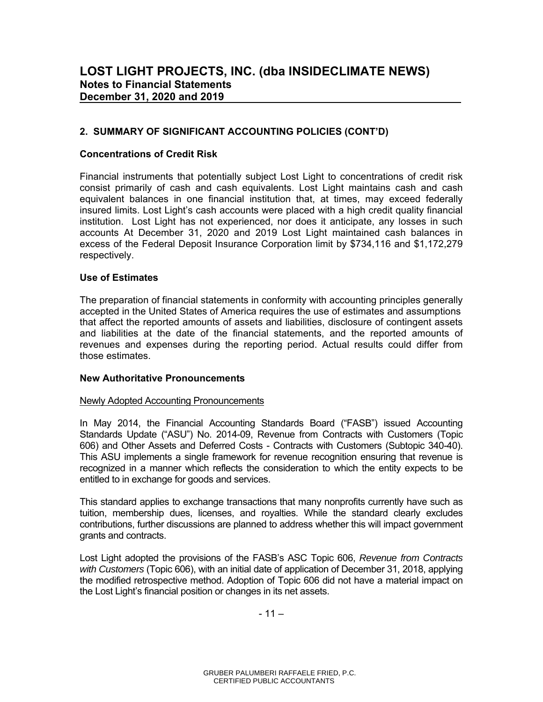#### **Concentrations of Credit Risk**

Financial instruments that potentially subject Lost Light to concentrations of credit risk consist primarily of cash and cash equivalents. Lost Light maintains cash and cash equivalent balances in one financial institution that, at times, may exceed federally insured limits. Lost Light's cash accounts were placed with a high credit quality financial institution. Lost Light has not experienced, nor does it anticipate, any losses in such accounts At December 31, 2020 and 2019 Lost Light maintained cash balances in excess of the Federal Deposit Insurance Corporation limit by \$734,116 and \$1,172,279 respectively.

#### **Use of Estimates**

The preparation of financial statements in conformity with accounting principles generally accepted in the United States of America requires the use of estimates and assumptions that affect the reported amounts of assets and liabilities, disclosure of contingent assets and liabilities at the date of the financial statements, and the reported amounts of revenues and expenses during the reporting period. Actual results could differ from those estimates.

#### **New Authoritative Pronouncements**

#### Newly Adopted Accounting Pronouncements

In May 2014, the Financial Accounting Standards Board ("FASB") issued Accounting Standards Update ("ASU") No. 2014-09, Revenue from Contracts with Customers (Topic 606) and Other Assets and Deferred Costs - Contracts with Customers (Subtopic 340-40). This ASU implements a single framework for revenue recognition ensuring that revenue is recognized in a manner which reflects the consideration to which the entity expects to be entitled to in exchange for goods and services.

This standard applies to exchange transactions that many nonprofits currently have such as tuition, membership dues, licenses, and royalties. While the standard clearly excludes contributions, further discussions are planned to address whether this will impact government grants and contracts.

Lost Light adopted the provisions of the FASB's ASC Topic 606, *Revenue from Contracts with Customers* (Topic 606), with an initial date of application of December 31, 2018, applying the modified retrospective method. Adoption of Topic 606 did not have a material impact on the Lost Light's financial position or changes in its net assets.

- 11 –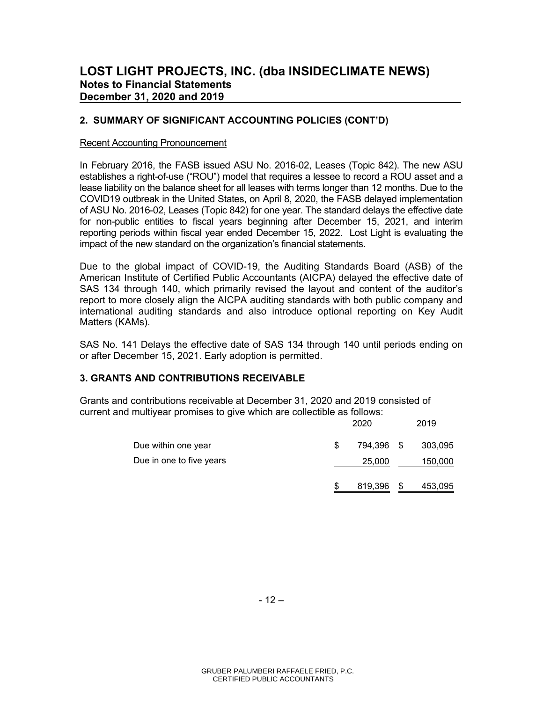#### Recent Accounting Pronouncement

In February 2016, the FASB issued ASU No. 2016-02, Leases (Topic 842). The new ASU establishes a right-of-use ("ROU") model that requires a lessee to record a ROU asset and a lease liability on the balance sheet for all leases with terms longer than 12 months. Due to the COVID19 outbreak in the United States, on April 8, 2020, the FASB delayed implementation of ASU No. 2016-02, Leases (Topic 842) for one year. The standard delays the effective date for non-public entities to fiscal years beginning after December 15, 2021, and interim reporting periods within fiscal year ended December 15, 2022. Lost Light is evaluating the impact of the new standard on the organization's financial statements.

Due to the global impact of COVID-19, the Auditing Standards Board (ASB) of the American Institute of Certified Public Accountants (AICPA) delayed the effective date of SAS 134 through 140, which primarily revised the layout and content of the auditor's report to more closely align the AICPA auditing standards with both public company and international auditing standards and also introduce optional reporting on Key Audit Matters (KAMs).

SAS No. 141 Delays the effective date of SAS 134 through 140 until periods ending on or after December 15, 2021. Early adoption is permitted.

#### **3. GRANTS AND CONTRIBUTIONS RECEIVABLE**

Grants and contributions receivable at December 31, 2020 and 2019 consisted of current and multiyear promises to give which are collectible as follows:

|                          | 2020 |            |   | 2019    |
|--------------------------|------|------------|---|---------|
| Due within one year      | \$   | 794.396 \$ |   | 303,095 |
| Due in one to five years |      | 25,000     |   | 150,000 |
|                          |      | 819,396    | S | 453,095 |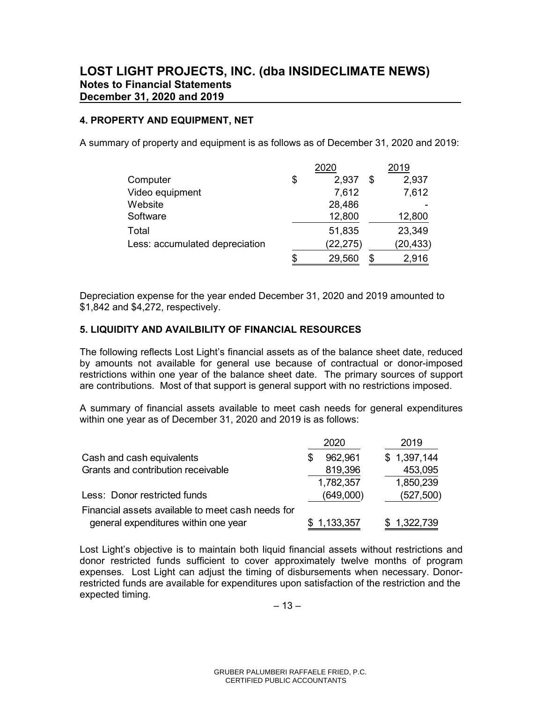# **4. PROPERTY AND EQUIPMENT, NET**

A summary of property and equipment is as follows as of December 31, 2020 and 2019:

|                                | 2020        |   | 2019      |
|--------------------------------|-------------|---|-----------|
| Computer                       | \$<br>2,937 | S | 2,937     |
| Video equipment                | 7,612       |   | 7,612     |
| Website                        | 28,486      |   |           |
| Software                       | 12,800      |   | 12,800    |
| Total                          | 51,835      |   | 23,349    |
| Less: accumulated depreciation | (22, 275)   |   | (20, 433) |
|                                | 29,560      | S | 2,916     |

Depreciation expense for the year ended December 31, 2020 and 2019 amounted to \$1,842 and \$4,272, respectively.

### **5. LIQUIDITY AND AVAILBILITY OF FINANCIAL RESOURCES**

The following reflects Lost Light's financial assets as of the balance sheet date, reduced by amounts not available for general use because of contractual or donor-imposed restrictions within one year of the balance sheet date. The primary sources of support are contributions. Most of that support is general support with no restrictions imposed.

A summary of financial assets available to meet cash needs for general expenditures within one year as of December 31, 2020 and 2019 is as follows:

|                                                   | 2020      | 2019        |
|---------------------------------------------------|-----------|-------------|
| Cash and cash equivalents                         | 962,961   | \$1,397,144 |
| Grants and contribution receivable                | 819,396   | 453,095     |
|                                                   | 1,782,357 | 1,850,239   |
| Less: Donor restricted funds                      | (649,000) | (527, 500)  |
| Financial assets available to meet cash needs for |           |             |
| general expenditures within one year              | 1,133,357 | \$1,322,739 |

Lost Light's objective is to maintain both liquid financial assets without restrictions and donor restricted funds sufficient to cover approximately twelve months of program expenses. Lost Light can adjust the timing of disbursements when necessary. Donorrestricted funds are available for expenditures upon satisfaction of the restriction and the expected timing.

 $-13-$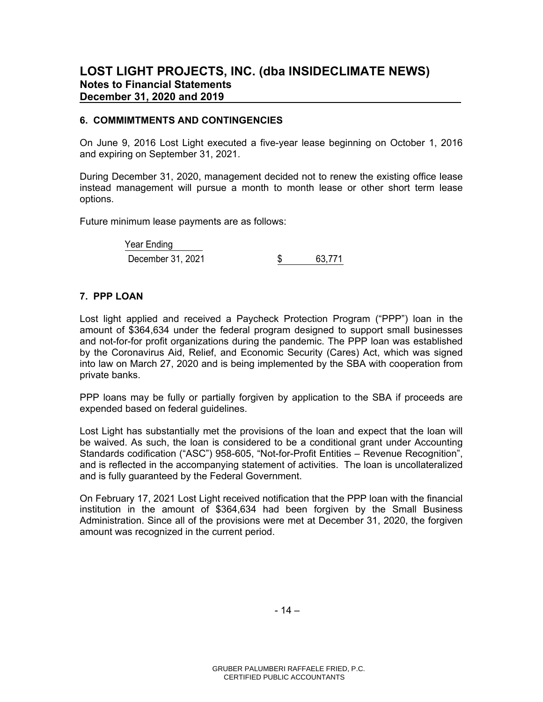# **LOST LIGHT PROJECTS, INC. (dba INSIDECLIMATE NEWS) Notes to Financial Statements December 31, 2020 and 2019**

### **6. COMMIMTMENTS AND CONTINGENCIES**

On June 9, 2016 Lost Light executed a five-year lease beginning on October 1, 2016 and expiring on September 31, 2021.

During December 31, 2020, management decided not to renew the existing office lease instead management will pursue a month to month lease or other short term lease options.

Future minimum lease payments are as follows:

| Year Ending       |        |
|-------------------|--------|
| December 31, 2021 | 63.771 |

# **7. PPP LOAN**

Lost light applied and received a Paycheck Protection Program ("PPP") loan in the amount of \$364,634 under the federal program designed to support small businesses and not-for-for profit organizations during the pandemic. The PPP loan was established by the Coronavirus Aid, Relief, and Economic Security (Cares) Act, which was signed into law on March 27, 2020 and is being implemented by the SBA with cooperation from private banks.

PPP loans may be fully or partially forgiven by application to the SBA if proceeds are expended based on federal guidelines.

Lost Light has substantially met the provisions of the loan and expect that the loan will be waived. As such, the loan is considered to be a conditional grant under Accounting Standards codification ("ASC") 958-605, "Not-for-Profit Entities – Revenue Recognition", and is reflected in the accompanying statement of activities. The loan is uncollateralized and is fully guaranteed by the Federal Government.

On February 17, 2021 Lost Light received notification that the PPP loan with the financial institution in the amount of \$364,634 had been forgiven by the Small Business Administration. Since all of the provisions were met at December 31, 2020, the forgiven amount was recognized in the current period.

- 14 –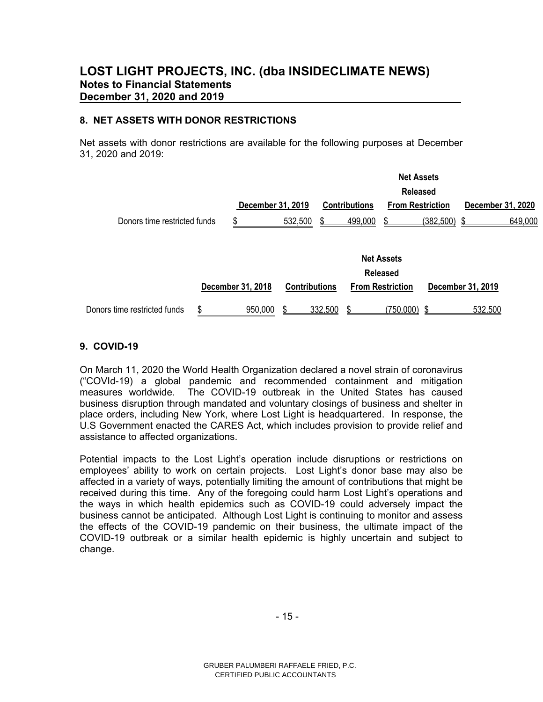# **8. NET ASSETS WITH DONOR RESTRICTIONS**

Net assets with donor restrictions are available for the following purposes at December 31, 2020 and 2019:

|                              |                   |                      | <b>Net Assets</b> |                      |                         |           |                   |         |  |  |
|------------------------------|-------------------|----------------------|-------------------|----------------------|-------------------------|-----------|-------------------|---------|--|--|
|                              |                   |                      |                   |                      | <b>Released</b>         |           |                   |         |  |  |
|                              | December 31, 2019 |                      |                   | <b>Contributions</b> | <b>From Restriction</b> |           | December 31, 2020 |         |  |  |
| Donors time restricted funds | S                 | 532,500              |                   | 499.000              |                         | (382.500) |                   | 649.000 |  |  |
|                              |                   |                      |                   |                      |                         |           |                   |         |  |  |
|                              |                   |                      |                   |                      | <b>Net Assets</b>       |           |                   |         |  |  |
|                              |                   |                      |                   |                      |                         |           |                   |         |  |  |
|                              |                   |                      |                   |                      | <b>Released</b>         |           |                   |         |  |  |
|                              | December 31, 2018 | <b>Contributions</b> |                   |                      | <b>From Restriction</b> |           | December 31, 2019 |         |  |  |
| Donors time restricted funds | \$<br>950,000     |                      | 332,500           |                      | (750,000)               |           | 532,500           |         |  |  |
|                              |                   |                      |                   |                      |                         |           |                   |         |  |  |

# **9. COVID-19**

On March 11, 2020 the World Health Organization declared a novel strain of coronavirus ("COVId-19) a global pandemic and recommended containment and mitigation measures worldwide. The COVID-19 outbreak in the United States has caused business disruption through mandated and voluntary closings of business and shelter in place orders, including New York, where Lost Light is headquartered. In response, the U.S Government enacted the CARES Act, which includes provision to provide relief and assistance to affected organizations.

Potential impacts to the Lost Light's operation include disruptions or restrictions on employees' ability to work on certain projects. Lost Light's donor base may also be affected in a variety of ways, potentially limiting the amount of contributions that might be received during this time. Any of the foregoing could harm Lost Light's operations and the ways in which health epidemics such as COVID-19 could adversely impact the business cannot be anticipated. Although Lost Light is continuing to monitor and assess the effects of the COVID-19 pandemic on their business, the ultimate impact of the COVID-19 outbreak or a similar health epidemic is highly uncertain and subject to change.

- 15 -